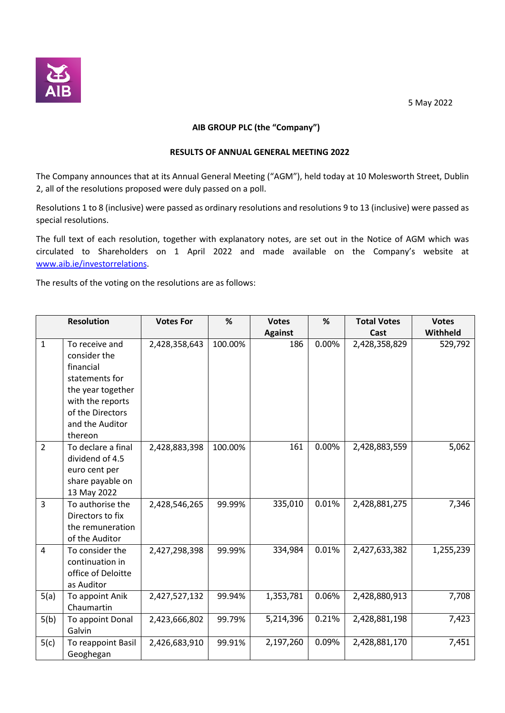

## 5 May 2022

# **AIB GROUP PLC (the "Company")**

#### **RESULTS OF ANNUAL GENERAL MEETING 2022**

The Company announces that at its Annual General Meeting ("AGM"), held today at 10 Molesworth Street, Dublin 2, all of the resolutions proposed were duly passed on a poll.

Resolutions 1 to 8 (inclusive) were passed as ordinary resolutions and resolutions 9 to 13 (inclusive) were passed as special resolutions.

The full text of each resolution, together with explanatory notes, are set out in the Notice of AGM which was circulated to Shareholders on 1 April 2022 and made available on the Company's website at www.aib.ie/investorrelations.

The results of the voting on the resolutions are as follows:

| <b>Resolution</b> |                                                                                                                                                          | <b>Votes For</b> | %       | <b>Votes</b>   | %        | <b>Total Votes</b> | <b>Votes</b> |
|-------------------|----------------------------------------------------------------------------------------------------------------------------------------------------------|------------------|---------|----------------|----------|--------------------|--------------|
|                   |                                                                                                                                                          |                  |         | <b>Against</b> |          | Cast               | Withheld     |
| $\mathbf{1}$      | To receive and<br>consider the<br>financial<br>statements for<br>the year together<br>with the reports<br>of the Directors<br>and the Auditor<br>thereon | 2,428,358,643    | 100.00% | 186            | $0.00\%$ | 2,428,358,829      | 529,792      |
| $\overline{2}$    | To declare a final<br>dividend of 4.5<br>euro cent per<br>share payable on<br>13 May 2022                                                                | 2,428,883,398    | 100.00% | 161            | 0.00%    | 2,428,883,559      | 5,062        |
| $\overline{3}$    | To authorise the<br>Directors to fix<br>the remuneration<br>of the Auditor                                                                               | 2,428,546,265    | 99.99%  | 335,010        | 0.01%    | 2,428,881,275      | 7,346        |
| 4                 | To consider the<br>continuation in<br>office of Deloitte<br>as Auditor                                                                                   | 2,427,298,398    | 99.99%  | 334,984        | 0.01%    | 2,427,633,382      | 1,255,239    |
| 5(a)              | To appoint Anik<br>Chaumartin                                                                                                                            | 2,427,527,132    | 99.94%  | 1,353,781      | 0.06%    | 2,428,880,913      | 7,708        |
| 5(b)              | To appoint Donal<br>Galvin                                                                                                                               | 2,423,666,802    | 99.79%  | 5,214,396      | 0.21%    | 2,428,881,198      | 7,423        |
| 5(c)              | To reappoint Basil<br>Geoghegan                                                                                                                          | 2,426,683,910    | 99.91%  | 2,197,260      | 0.09%    | 2,428,881,170      | 7,451        |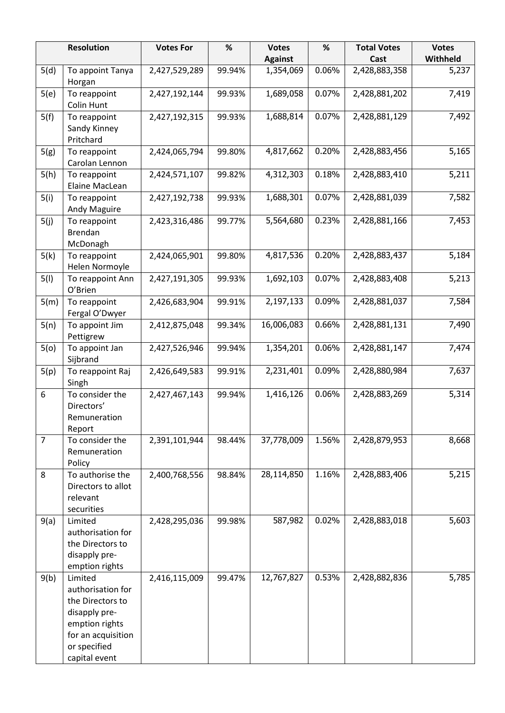| <b>Resolution</b> |                                                                                                                                            | <b>Votes For</b> | %      | <b>Votes</b><br><b>Against</b> | $\%$  | <b>Total Votes</b><br>Cast | <b>Votes</b><br>Withheld |
|-------------------|--------------------------------------------------------------------------------------------------------------------------------------------|------------------|--------|--------------------------------|-------|----------------------------|--------------------------|
| 5(d)              | To appoint Tanya<br>Horgan                                                                                                                 | 2,427,529,289    | 99.94% | 1,354,069                      | 0.06% | 2,428,883,358              | 5,237                    |
| 5(e)              | To reappoint<br><b>Colin Hunt</b>                                                                                                          | 2,427,192,144    | 99.93% | 1,689,058                      | 0.07% | 2,428,881,202              | 7,419                    |
| 5(f)              | To reappoint<br>Sandy Kinney<br>Pritchard                                                                                                  | 2,427,192,315    | 99.93% | 1,688,814                      | 0.07% | 2,428,881,129              | 7,492                    |
| 5(g)              | To reappoint<br>Carolan Lennon                                                                                                             | 2,424,065,794    | 99.80% | 4,817,662                      | 0.20% | 2,428,883,456              | 5,165                    |
| 5(h)              | To reappoint<br>Elaine MacLean                                                                                                             | 2,424,571,107    | 99.82% | 4,312,303                      | 0.18% | 2,428,883,410              | 5,211                    |
| 5(i)              | To reappoint<br>Andy Maguire                                                                                                               | 2,427,192,738    | 99.93% | 1,688,301                      | 0.07% | 2,428,881,039              | 7,582                    |
| 5(j)              | To reappoint<br><b>Brendan</b><br>McDonagh                                                                                                 | 2,423,316,486    | 99.77% | 5,564,680                      | 0.23% | 2,428,881,166              | 7,453                    |
| 5(k)              | To reappoint<br>Helen Normoyle                                                                                                             | 2,424,065,901    | 99.80% | 4,817,536                      | 0.20% | 2,428,883,437              | 5,184                    |
| 5(1)              | To reappoint Ann<br>O'Brien                                                                                                                | 2,427,191,305    | 99.93% | 1,692,103                      | 0.07% | 2,428,883,408              | 5,213                    |
| 5(m)              | To reappoint<br>Fergal O'Dwyer                                                                                                             | 2,426,683,904    | 99.91% | 2,197,133                      | 0.09% | 2,428,881,037              | 7,584                    |
| 5(n)              | To appoint Jim<br>Pettigrew                                                                                                                | 2,412,875,048    | 99.34% | 16,006,083                     | 0.66% | 2,428,881,131              | 7,490                    |
| 5(0)              | To appoint Jan<br>Sijbrand                                                                                                                 | 2,427,526,946    | 99.94% | 1,354,201                      | 0.06% | 2,428,881,147              | 7,474                    |
| 5(p)              | To reappoint Raj<br>Singh                                                                                                                  | 2,426,649,583    | 99.91% | 2,231,401                      | 0.09% | 2,428,880,984              | 7,637                    |
| 6                 | To consider the<br>Directors'<br>Remuneration<br>Report                                                                                    | 2,427,467,143    | 99.94% | 1,416,126                      | 0.06% | 2,428,883,269              | 5,314                    |
| $\overline{7}$    | To consider the<br>Remuneration<br>Policy                                                                                                  | 2,391,101,944    | 98.44% | 37,778,009                     | 1.56% | 2,428,879,953              | 8,668                    |
| 8                 | To authorise the<br>Directors to allot<br>relevant<br>securities                                                                           | 2,400,768,556    | 98.84% | 28,114,850                     | 1.16% | 2,428,883,406              | 5,215                    |
| 9(a)              | Limited<br>authorisation for<br>the Directors to<br>disapply pre-<br>emption rights                                                        | 2,428,295,036    | 99.98% | 587,982                        | 0.02% | 2,428,883,018              | 5,603                    |
| 9(b)              | Limited<br>authorisation for<br>the Directors to<br>disapply pre-<br>emption rights<br>for an acquisition<br>or specified<br>capital event | 2,416,115,009    | 99.47% | 12,767,827                     | 0.53% | 2,428,882,836              | 5,785                    |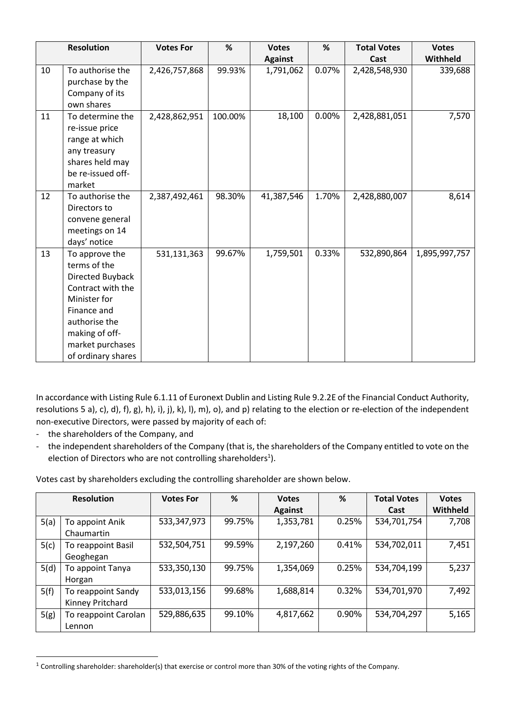|    | <b>Resolution</b>                                                                                                                                                                   | <b>Votes For</b> | %       | <b>Votes</b>   | %        | <b>Total Votes</b> | <b>Votes</b>  |
|----|-------------------------------------------------------------------------------------------------------------------------------------------------------------------------------------|------------------|---------|----------------|----------|--------------------|---------------|
|    |                                                                                                                                                                                     |                  |         | <b>Against</b> |          | Cast               | Withheld      |
| 10 | To authorise the<br>purchase by the<br>Company of its<br>own shares                                                                                                                 | 2,426,757,868    | 99.93%  | 1,791,062      | 0.07%    | 2,428,548,930      | 339,688       |
| 11 | To determine the<br>re-issue price<br>range at which<br>any treasury<br>shares held may<br>be re-issued off-<br>market                                                              | 2,428,862,951    | 100.00% | 18,100         | $0.00\%$ | 2,428,881,051      | 7,570         |
| 12 | To authorise the<br>Directors to<br>convene general<br>meetings on 14<br>days' notice                                                                                               | 2,387,492,461    | 98.30%  | 41,387,546     | 1.70%    | 2,428,880,007      | 8,614         |
| 13 | To approve the<br>terms of the<br>Directed Buyback<br>Contract with the<br>Minister for<br>Finance and<br>authorise the<br>making of off-<br>market purchases<br>of ordinary shares | 531,131,363      | 99.67%  | 1,759,501      | 0.33%    | 532,890,864        | 1,895,997,757 |

In accordance with Listing Rule 6.1.11 of Euronext Dublin and Listing Rule 9.2.2E of the Financial Conduct Authority, resolutions 5 a), c), d), f), g), h), i), j), k), l), m), o), and p) relating to the election or re-election of the independent non-executive Directors, were passed by majority of each of:

- the shareholders of the Company, and

 $\overline{\phantom{a}}$ 

- the independent shareholders of the Company (that is, the shareholders of the Company entitled to vote on the election of Directors who are not controlling shareholders<sup>1</sup>).

Votes cast by shareholders excluding the controlling shareholder are shown below.

|      | <b>Resolution</b>                      | <b>Votes For</b> | %      | <b>Votes</b><br><b>Against</b> | %     | <b>Total Votes</b><br>Cast | <b>Votes</b><br>Withheld |
|------|----------------------------------------|------------------|--------|--------------------------------|-------|----------------------------|--------------------------|
| 5(a) | To appoint Anik<br>Chaumartin          | 533,347,973      | 99.75% | 1,353,781                      | 0.25% | 534,701,754                | 7,708                    |
| 5(c) | To reappoint Basil<br>Geoghegan        | 532,504,751      | 99.59% | 2,197,260                      | 0.41% | 534,702,011                | 7,451                    |
| 5(d) | To appoint Tanya<br>Horgan             | 533,350,130      | 99.75% | 1,354,069                      | 0.25% | 534,704,199                | 5,237                    |
| 5(f) | To reappoint Sandy<br>Kinney Pritchard | 533,013,156      | 99.68% | 1,688,814                      | 0.32% | 534,701,970                | 7,492                    |
| 5(g) | To reappoint Carolan<br>Lennon         | 529,886,635      | 99.10% | 4,817,662                      | 0.90% | 534,704,297                | 5,165                    |

<sup>&</sup>lt;sup>1</sup> Controlling shareholder: shareholder(s) that exercise or control more than 30% of the voting rights of the Company.